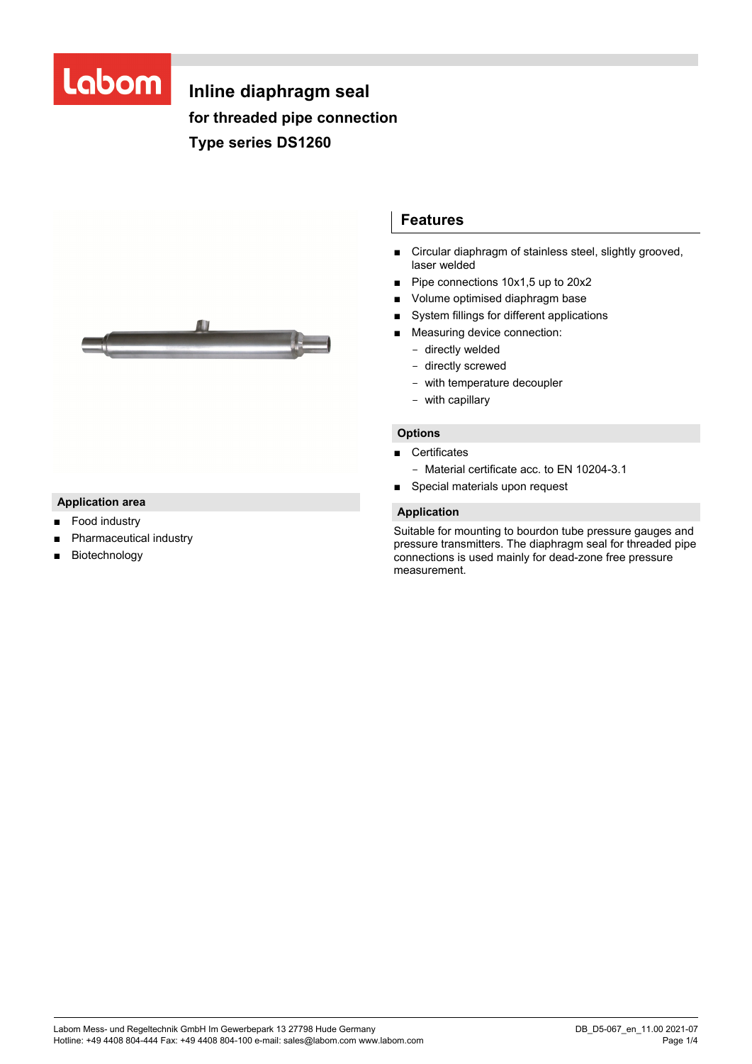# Labom

## **Inline diaphragm seal for threaded pipe connection Type series DS1260**



## **Application area**

- Food industry
- Pharmaceutical industry
- Biotechnology

## **Features**

- Circular diaphragm of stainless steel, slightly grooved, laser welded
- Pipe connections 10x1,5 up to 20x2
- Volume optimised diaphragm base
- System fillings for different applications
- Measuring device connection:
	- directly welded
	- directly screwed
	- with temperature decoupler
	- with capillary

#### **Options**

- Certificates
	- Material certificate acc. to EN 10204-3.1
- Special materials upon request

#### **Application**

Suitable for mounting to bourdon tube pressure gauges and pressure transmitters. The diaphragm seal for threaded pipe connections is used mainly for dead-zone free pressure measurement.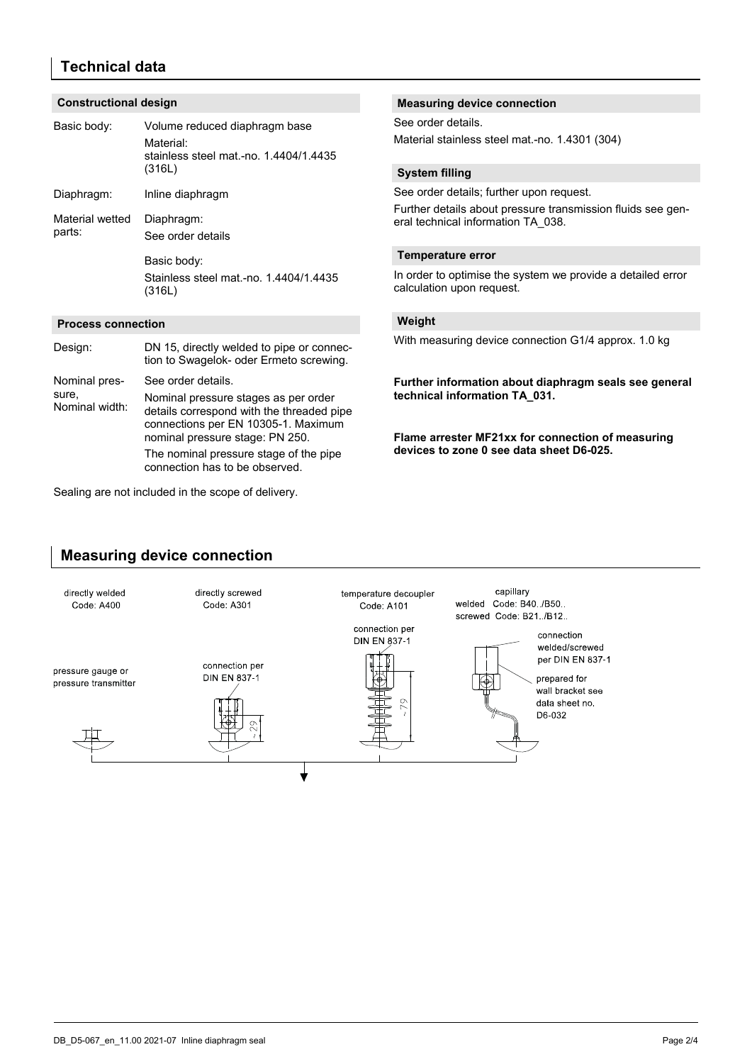## **Technical data**

#### **Constructional design**

| Basic body:                              | Volume reduced diaphragm base<br>Material:<br>stainless steel mat.-no. 1.4404/1.4435<br>(316L)                                                              | See order details.<br>Material stainless steel mat.-no. 1.4301 (304)                                                                                                                    |
|------------------------------------------|-------------------------------------------------------------------------------------------------------------------------------------------------------------|-----------------------------------------------------------------------------------------------------------------------------------------------------------------------------------------|
|                                          |                                                                                                                                                             | <b>System filling</b>                                                                                                                                                                   |
| Diaphragm:                               | Inline diaphragm                                                                                                                                            | See order details; further upon request.                                                                                                                                                |
| Material wetted<br>parts:                | Diaphragm:<br>See order details                                                                                                                             | Further details about pressure transmission fluids see gen-<br>eral technical information TA 038.                                                                                       |
|                                          | Basic body:                                                                                                                                                 | <b>Temperature error</b><br>In order to optimise the system we provide a detailed error<br>calculation upon request.                                                                    |
|                                          | Stainless steel mat -no. 1.4404/1.4435<br>(316L)                                                                                                            |                                                                                                                                                                                         |
| <b>Process connection</b>                |                                                                                                                                                             | Weight                                                                                                                                                                                  |
| Design:                                  | DN 15, directly welded to pipe or connec-<br>tion to Swagelok- oder Ermeto screwing.                                                                        | With measuring device connection G1/4 approx. 1.0 kg                                                                                                                                    |
| Nominal pres-<br>sure,<br>Nominal width: | See order details.                                                                                                                                          | Further information about diaphragm seals see general<br>technical information TA_031.<br>Flame arrester MF21xx for connection of measuring<br>devices to zone 0 see data sheet D6-025. |
|                                          | Nominal pressure stages as per order<br>details correspond with the threaded pipe<br>connections per EN 10305-1. Maximum<br>nominal pressure stage: PN 250. |                                                                                                                                                                                         |
|                                          | The nominal pressure stage of the pipe<br>connection has to be observed.                                                                                    |                                                                                                                                                                                         |

**Measuring device connection** 

Sealing are not included in the scope of delivery.

## **Measuring device connection**

#### directly welded directly screwed capillary temperature decoupler welded Code: B40 /B50. Code: A400 Code: A301 Code: A101 screwed Code: B21./B12.. connection per connection **DIN EN 837-1** welded/screwed per DIN EN 837-1 connection per pressure gauge or **DIN EN 837-1** prepared for pressure transmitter wall bracket see data sheet no. D6-032 ╈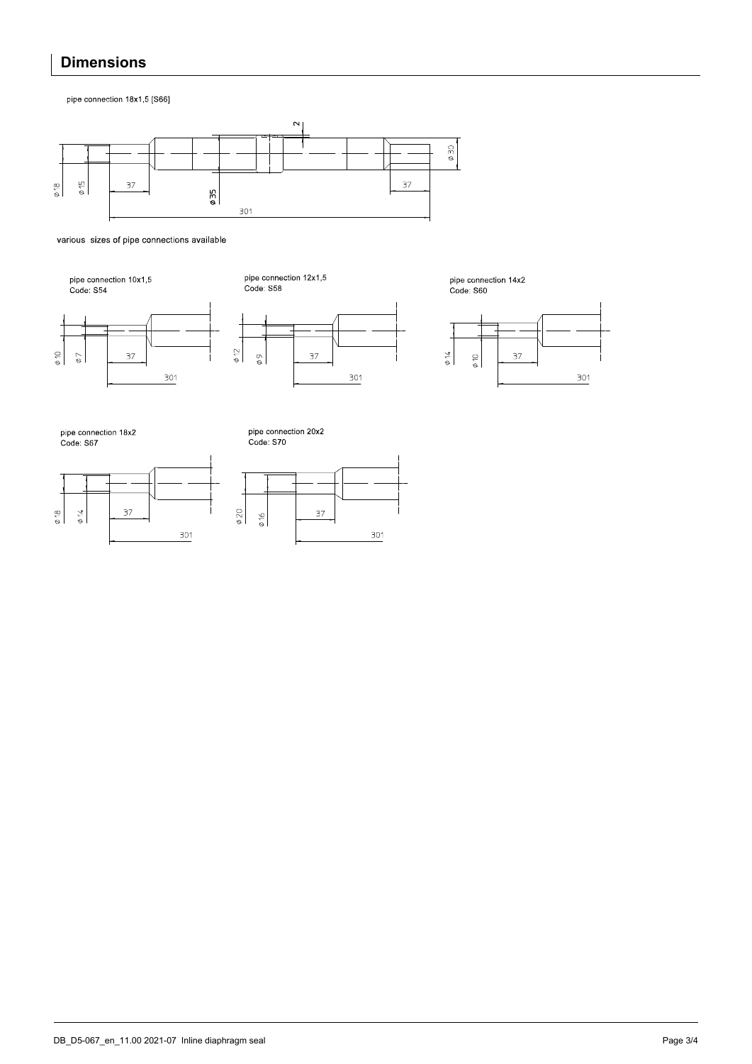## **Dimensions**

pipe connection 18x1,5 [S66]



various sizes of pipe connections available



37

 $\frac{301}{2}$ 

pipe connection 12x1,5<br>Code: S58



pipe connection 14x2<br>Code: S60



pipe connection 18x2<br>Code: S67

 $\frac{\Phi}{\Phi}$ 

 $\phi$  7



pipe connection 20x2<br>Code: S70